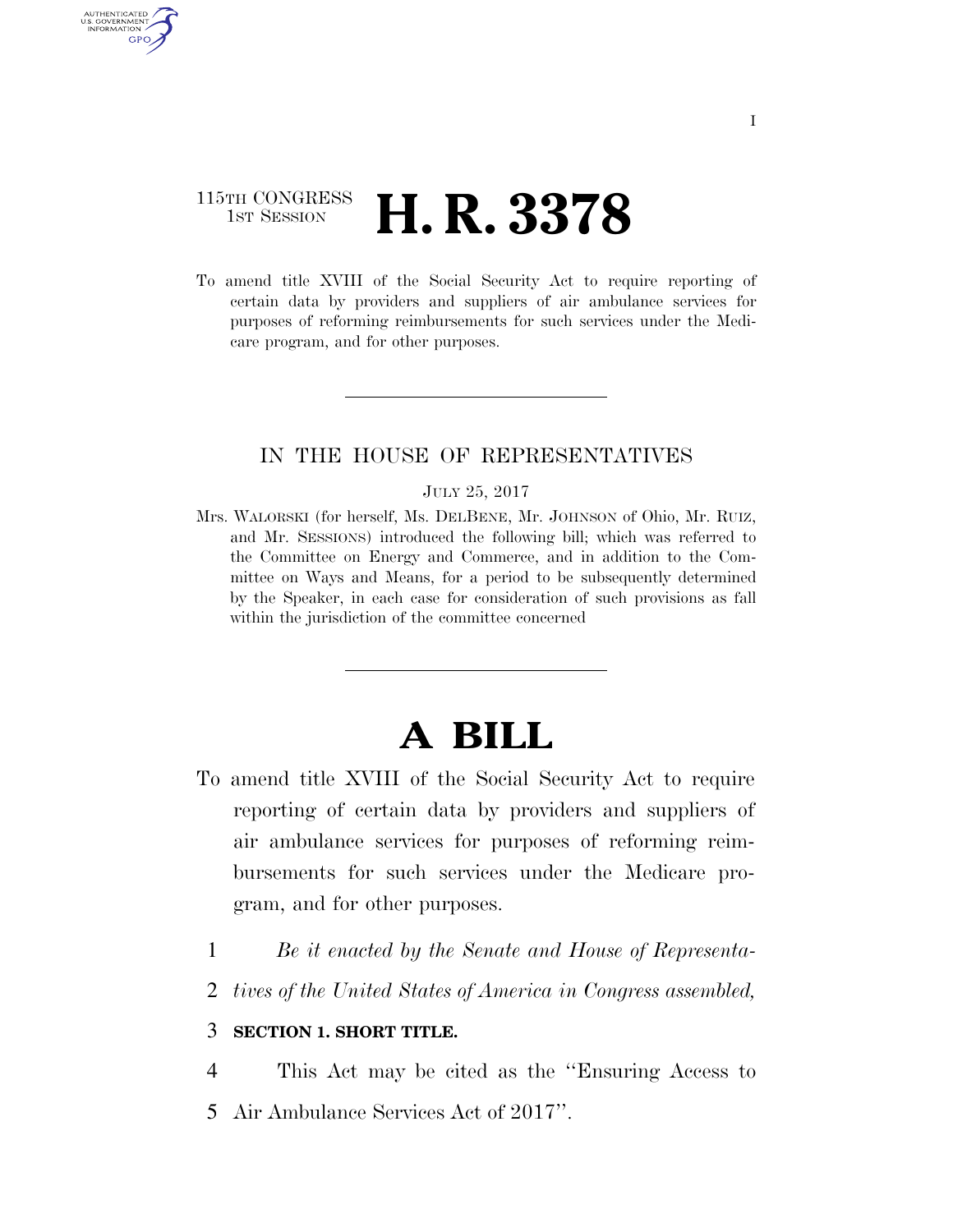## 115TH CONGRESS **1st Session H. R. 3378**

AUTHENTICATED U.S. GOVERNMENT **GPO** 

> To amend title XVIII of the Social Security Act to require reporting of certain data by providers and suppliers of air ambulance services for purposes of reforming reimbursements for such services under the Medicare program, and for other purposes.

### IN THE HOUSE OF REPRESENTATIVES

#### JULY 25, 2017

Mrs. WALORSKI (for herself, Ms. DELBENE, Mr. JOHNSON of Ohio, Mr. RUIZ, and Mr. SESSIONS) introduced the following bill; which was referred to the Committee on Energy and Commerce, and in addition to the Committee on Ways and Means, for a period to be subsequently determined by the Speaker, in each case for consideration of such provisions as fall within the jurisdiction of the committee concerned

# **A BILL**

- To amend title XVIII of the Social Security Act to require reporting of certain data by providers and suppliers of air ambulance services for purposes of reforming reimbursements for such services under the Medicare program, and for other purposes.
	- 1 *Be it enacted by the Senate and House of Representa-*
	- 2 *tives of the United States of America in Congress assembled,*

#### 3 **SECTION 1. SHORT TITLE.**

4 This Act may be cited as the ''Ensuring Access to

5 Air Ambulance Services Act of 2017''.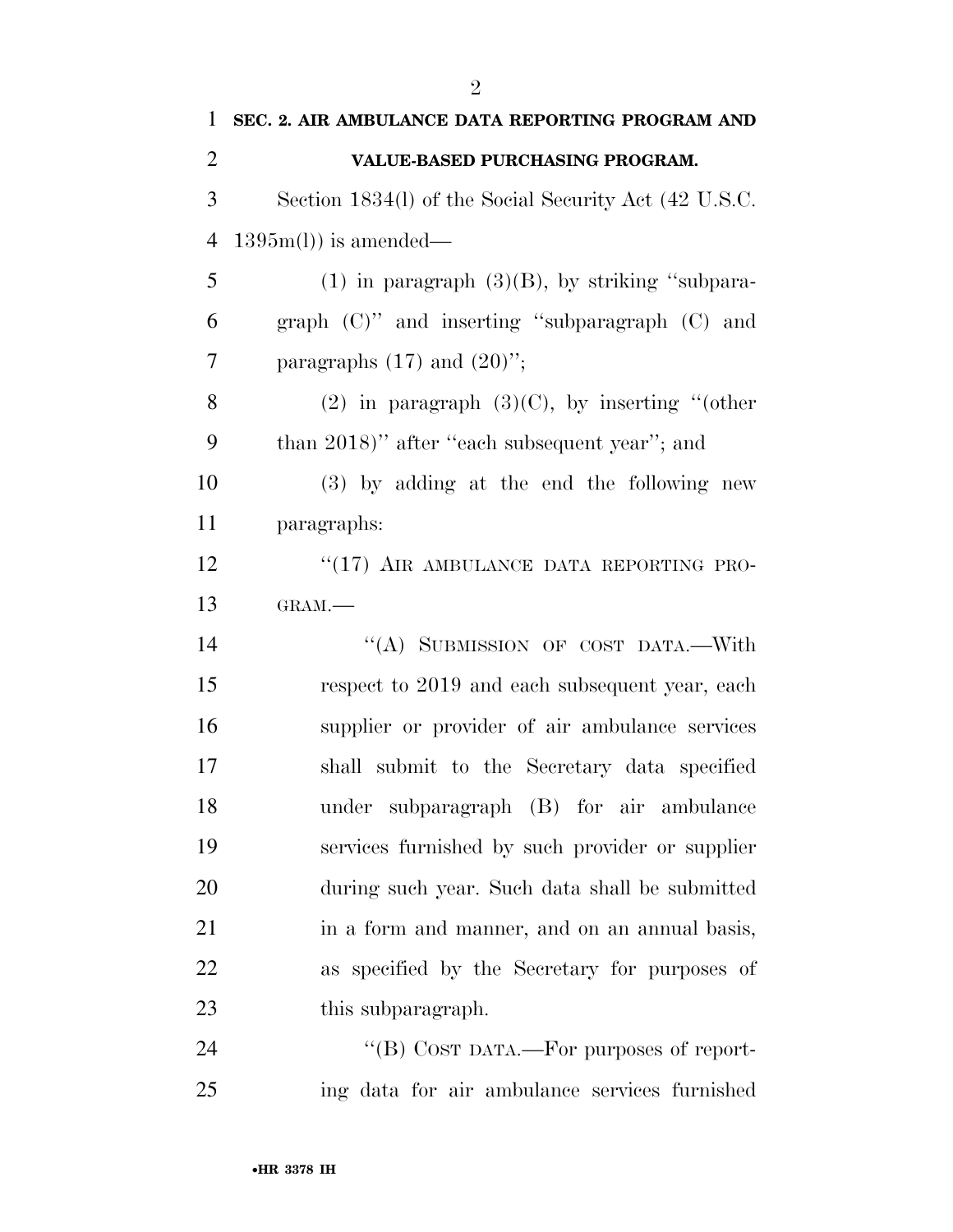| 1              | SEC. 2. AIR AMBULANCE DATA REPORTING PROGRAM AND      |
|----------------|-------------------------------------------------------|
| $\overline{2}$ | VALUE-BASED PURCHASING PROGRAM.                       |
| 3              | Section 1834(l) of the Social Security Act (42 U.S.C. |
| 4              | $1395m(l)$ is amended—                                |
| 5              | $(1)$ in paragraph $(3)(B)$ , by striking "subpara-   |
| 6              | graph $(C)$ " and inserting "subparagraph $(C)$ and   |
| 7              | paragraphs $(17)$ and $(20)$ ";                       |
| 8              | (2) in paragraph $(3)(C)$ , by inserting "(other      |
| 9              | than 2018)" after "each subsequent year"; and         |
| 10             | (3) by adding at the end the following new            |
| 11             | paragraphs:                                           |
| 12             | "(17) AIR AMBULANCE DATA REPORTING PRO-               |
| 13             | GRAM.-                                                |
| 14             | "(A) SUBMISSION OF COST DATA.-With                    |
| 15             | respect to 2019 and each subsequent year, each        |
| 16             | supplier or provider of air ambulance services        |
| 17             | shall submit to the Secretary data specified          |
| 18             | under subparagraph (B) for air ambulance              |
| 19             | services furnished by such provider or supplier       |
| 20             | during such year. Such data shall be submitted        |
| 21             | in a form and manner, and on an annual basis,         |
| 22             | as specified by the Secretary for purposes of         |
| 23             | this subparagraph.                                    |
| 24             | "(B) COST DATA.—For purposes of report-               |
| 25             | ing data for air ambulance services furnished         |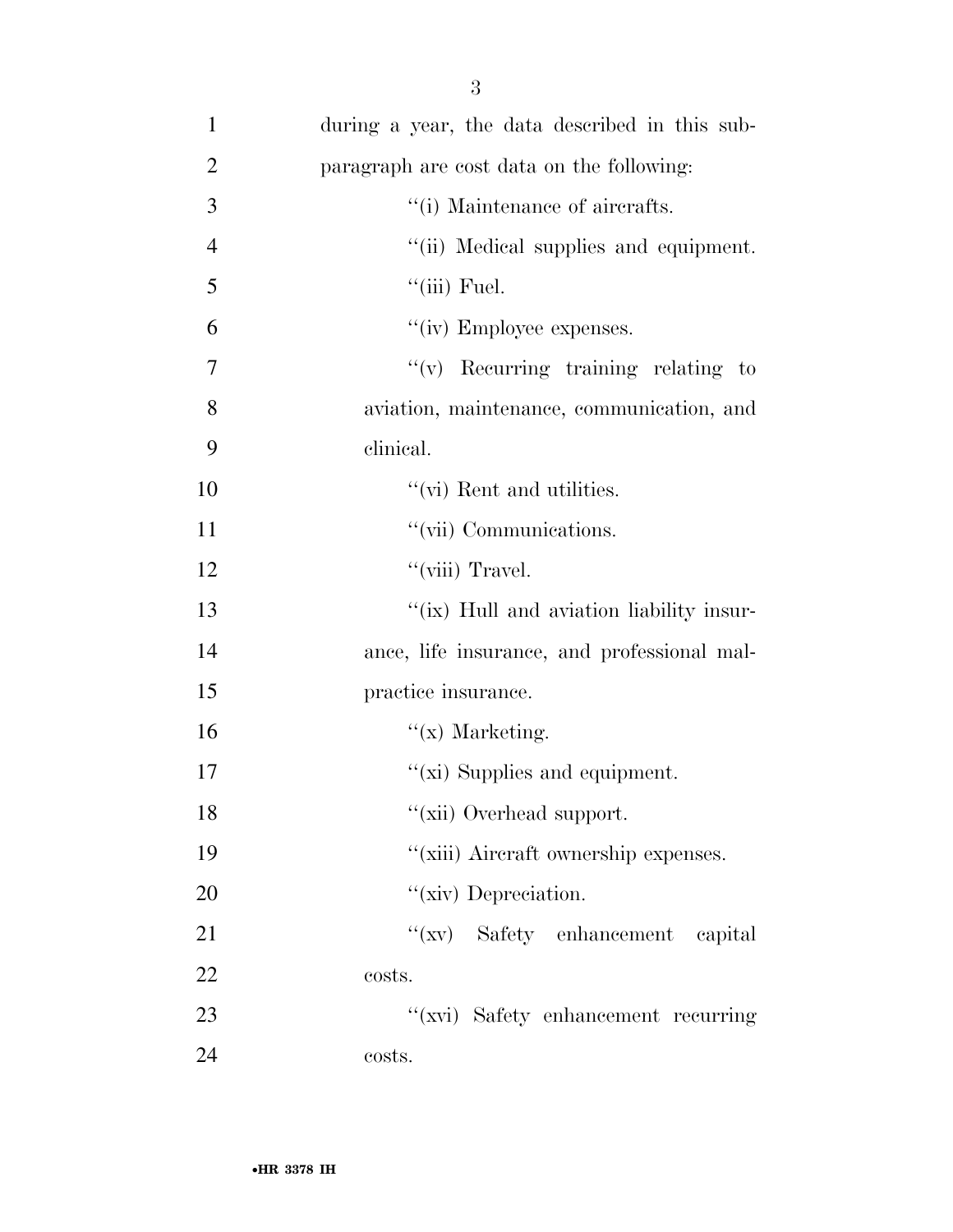| $\mathbf{1}$   | during a year, the data described in this sub- |
|----------------|------------------------------------------------|
| $\overline{2}$ | paragraph are cost data on the following:      |
| 3              | "(i) Maintenance of aircrafts.                 |
| $\overline{4}$ | "(ii) Medical supplies and equipment.          |
| 5              | $``$ (iii) Fuel.                               |
| 6              | "(iv) Employee expenses.                       |
| 7              | $f'(v)$ Recurring training relating to         |
| 8              | aviation, maintenance, communication, and      |
| 9              | clinical.                                      |
| 10             | "(vi) Rent and utilities.                      |
| 11             | "(vii) Communications.                         |
| 12             | "(viii) Travel.                                |
| 13             | "(ix) Hull and aviation liability insur-       |
| 14             | ance, life insurance, and professional mal-    |
| 15             | practice insurance.                            |
| 16             | $f(x)$ Marketing.                              |
| 17             | " $(xi)$ Supplies and equipment.               |
| 18             | "(xii) Overhead support.                       |
| 19             | "(xiii) Aircraft ownership expenses.           |
| 20             | "(xiv) Depreciation.                           |
| 21             | "(xv) Safety enhancement capital               |
| 22             | costs.                                         |
| 23             | "(xvi) Safety enhancement recurring            |
| 24             | costs.                                         |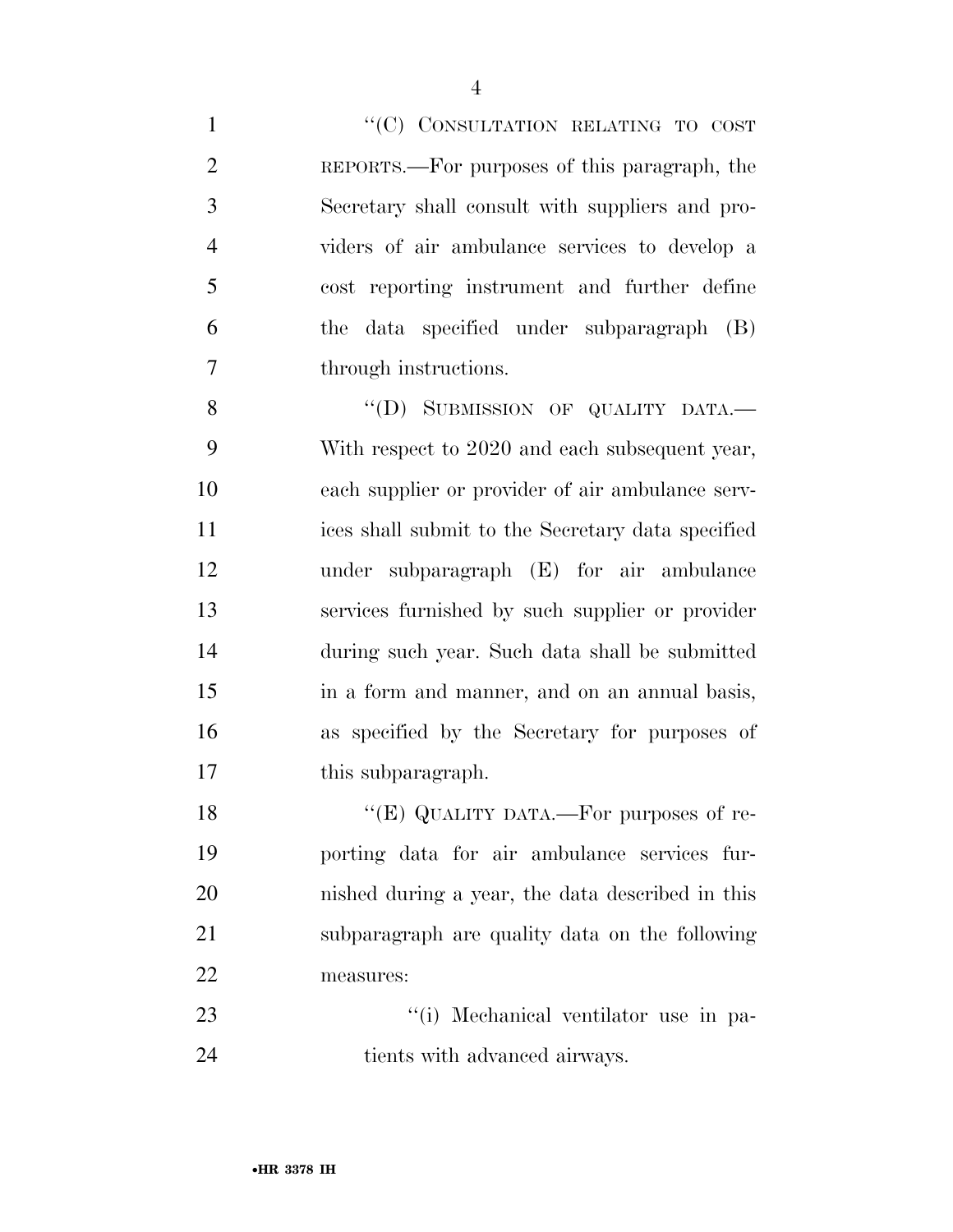1 "'(C) CONSULTATION RELATING TO COST REPORTS.—For purposes of this paragraph, the Secretary shall consult with suppliers and pro- viders of air ambulance services to develop a cost reporting instrument and further define the data specified under subparagraph (B) through instructions. 8 "(D) SUBMISSION OF QUALITY DATA.

 With respect to 2020 and each subsequent year, each supplier or provider of air ambulance serv- ices shall submit to the Secretary data specified under subparagraph (E) for air ambulance services furnished by such supplier or provider during such year. Such data shall be submitted in a form and manner, and on an annual basis, as specified by the Secretary for purposes of 17 this subparagraph.

18 "(E) QUALITY DATA.—For purposes of re- porting data for air ambulance services fur- nished during a year, the data described in this subparagraph are quality data on the following measures:

23  $\frac{1}{1}$  Mechanical ventilator use in pa-24 tients with advanced airways.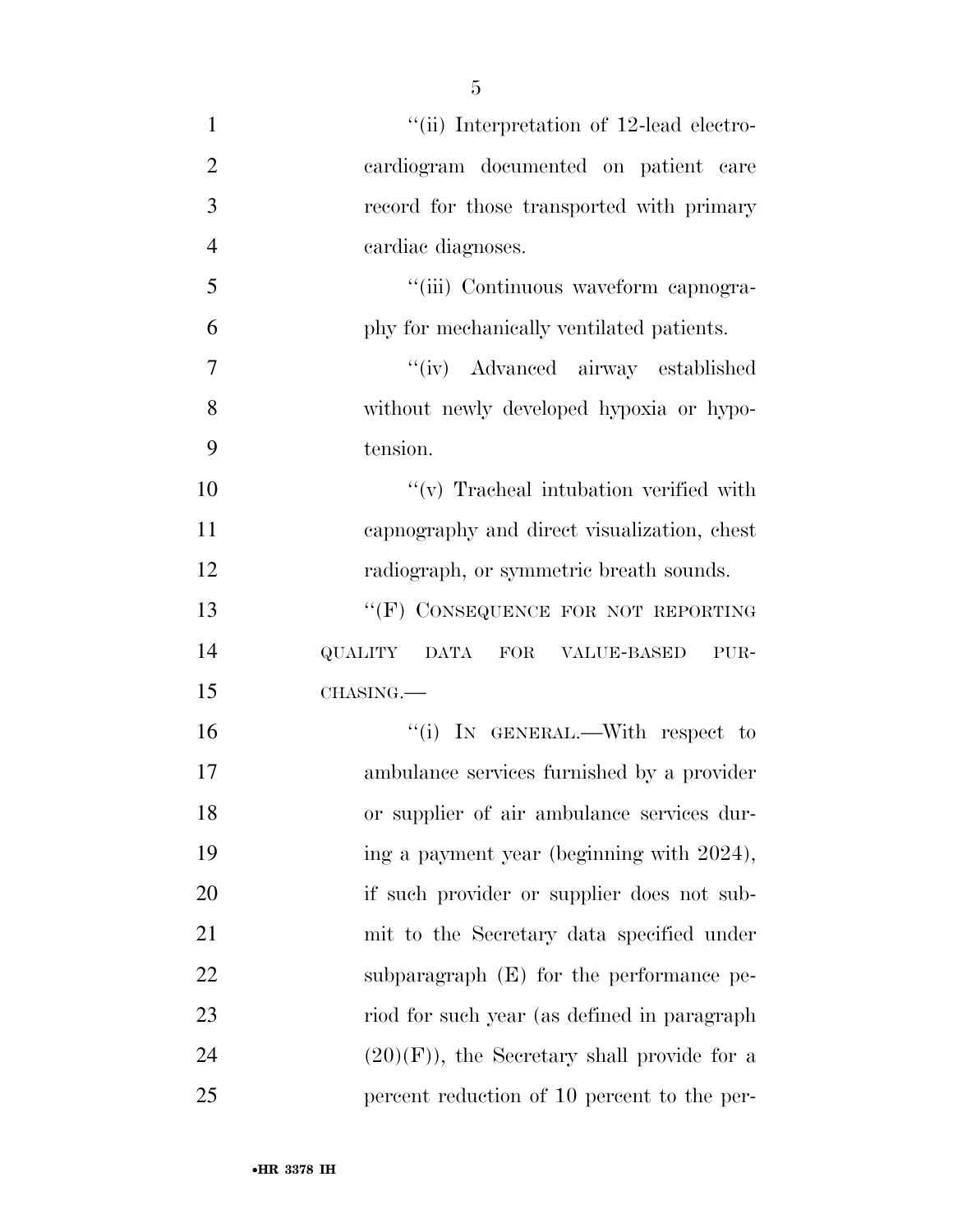| $\mathbf{1}$   | "(ii) Interpretation of 12-lead electro-      |
|----------------|-----------------------------------------------|
| $\overline{2}$ | cardiogram documented on patient care         |
| 3              | record for those transported with primary     |
| $\overline{4}$ | cardiac diagnoses.                            |
| 5              | "(iii) Continuous waveform capnogra-          |
| 6              | phy for mechanically ventilated patients.     |
| $\overline{7}$ | "(iv) Advanced airway established             |
| 8              | without newly developed hypoxia or hypo-      |
| 9              | tension.                                      |
| 10             | $f'(v)$ Tracheal intubation verified with     |
| 11             | capnography and direct visualization, chest   |
| 12             | radiograph, or symmetric breath sounds.       |
| 13             | "(F) CONSEQUENCE FOR NOT REPORTING            |
| 14             | QUALITY DATA FOR VALUE-BASED<br>PUR-          |
| 15             | CHASING.                                      |
| 16             | "(i) IN GENERAL.—With respect to              |
| 17             | ambulance services furnished by a provider    |
| 18             | or supplier of air ambulance services dur-    |
| 19             | ing a payment year (beginning with 2024),     |
| 20             | if such provider or supplier does not sub-    |
| 21             | mit to the Secretary data specified under     |
| 22             | subparagraph $(E)$ for the performance pe-    |
| 23             | riod for such year (as defined in paragraph   |
| 24             | $(20)(F)$ , the Secretary shall provide for a |
| 25             | percent reduction of 10 percent to the per-   |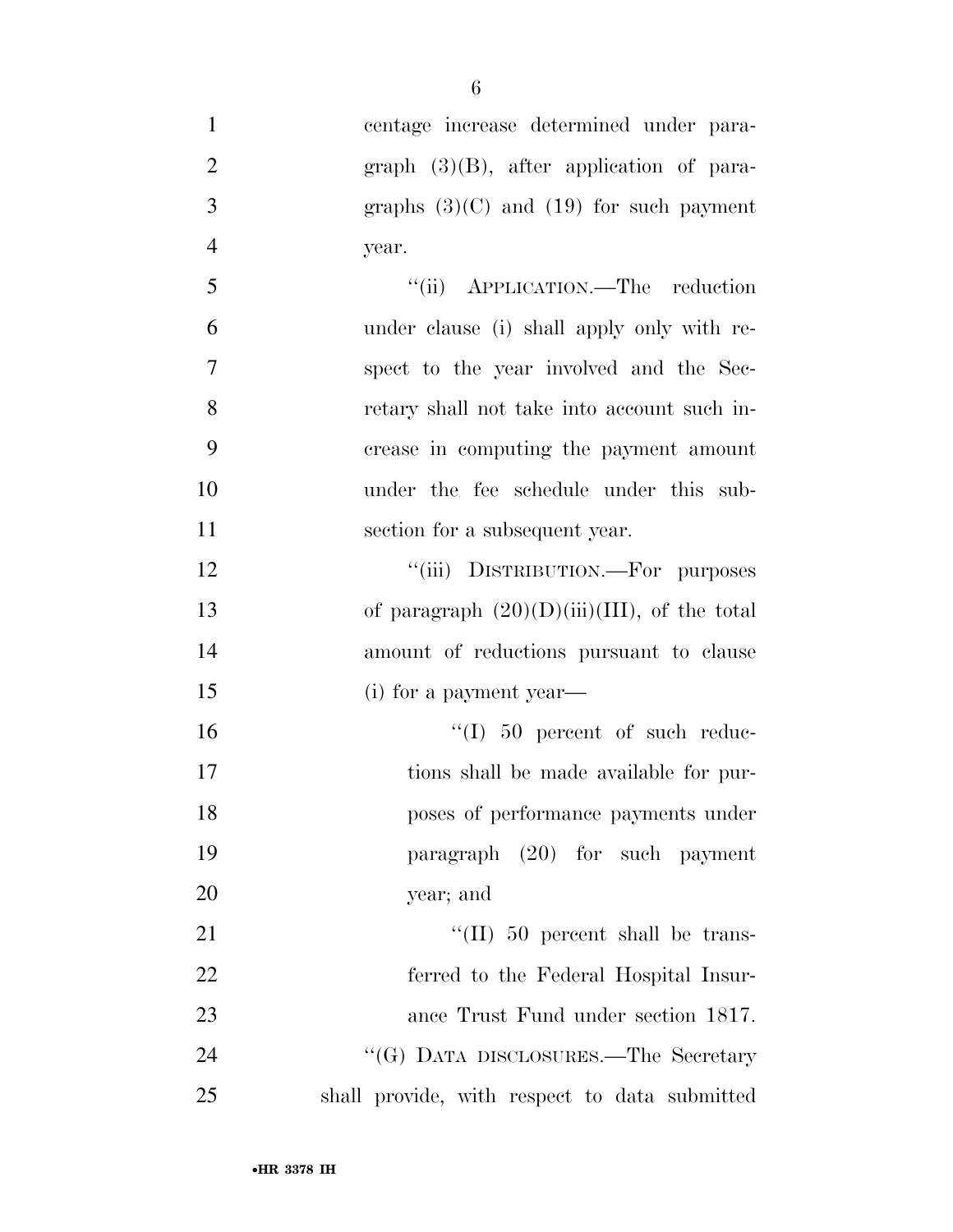centage increase determined under para-2 graph (3)(B), after application of para- $3 \qquad \qquad \text{graphs} \quad (3)(C) \text{ and } (19) \text{ for such payment}$ year.

| $\overline{5}$ | "(ii) APPLICATION.—The reduction            |
|----------------|---------------------------------------------|
| 6              | under clause (i) shall apply only with re-  |
| 7              | spect to the year involved and the Sec-     |
| 8              | retary shall not take into account such in- |
| - 9            | crease in computing the payment amount      |
| 10             | under the fee schedule under this sub-      |
| 11             | section for a subsequent year.              |

12 "(iii) DISTRIBUTION.—For purposes 13 of paragraph  $(20)(D)(iii)(III)$ , of the total amount of reductions pursuant to clause (i) for a payment year—

 $\text{``(I)}$  50 percent of such reduc- tions shall be made available for pur- poses of performance payments under paragraph (20) for such payment year; and

 $\text{``(II)}\,50$  percent shall be trans- ferred to the Federal Hospital Insur- ance Trust Fund under section 1817. 24 ''(G) DATA DISCLOSURES.—The Secretary shall provide, with respect to data submitted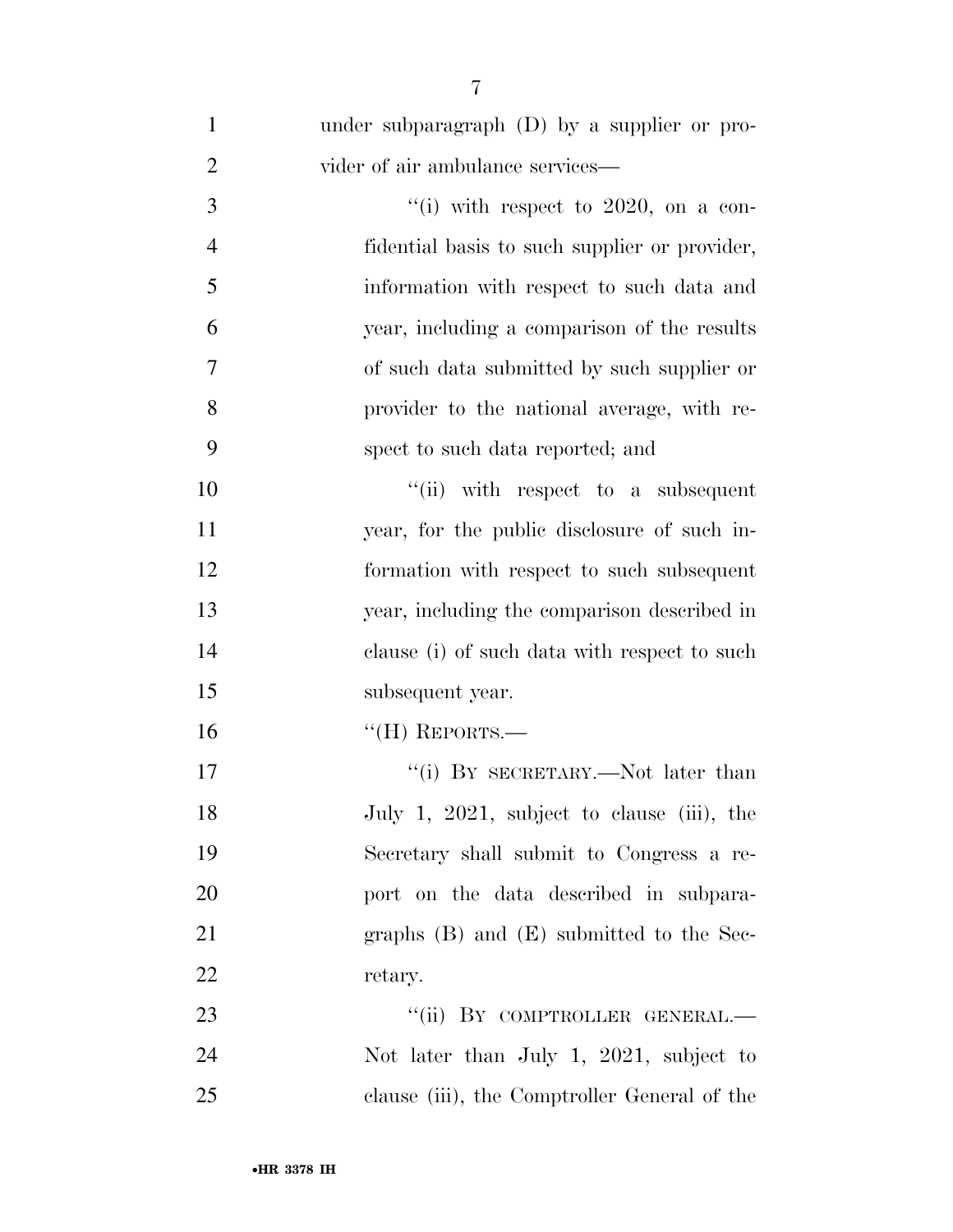| $\mathbf{1}$   | under subparagraph (D) by a supplier or pro-  |
|----------------|-----------------------------------------------|
| $\overline{2}$ | vider of air ambulance services-              |
| 3              | "(i) with respect to 2020, on a con-          |
| $\overline{4}$ | fidential basis to such supplier or provider, |
| 5              | information with respect to such data and     |
| 6              | year, including a comparison of the results   |
| 7              | of such data submitted by such supplier or    |
| 8              | provider to the national average, with re-    |
| 9              | spect to such data reported; and              |
| 10             | "(ii) with respect to a subsequent            |
| 11             | year, for the public disclosure of such in-   |
| 12             | formation with respect to such subsequent     |
| 13             | year, including the comparison described in   |
| 14             | clause (i) of such data with respect to such  |
| 15             | subsequent year.                              |
| 16             | $``$ (H) REPORTS.—                            |
| 17             | "(i) BY SECRETARY.—Not later than             |
| 18             | July 1, 2021, subject to clause (iii), the    |
| 19             | Secretary shall submit to Congress a re-      |
| 20             | port on the data described in subpara-        |
| 21             | graphs $(B)$ and $(E)$ submitted to the Sec-  |
| 22             | retary.                                       |
| 23             | "(ii) BY COMPTROLLER GENERAL.—                |
| 24             | Not later than July 1, 2021, subject to       |
| 25             | clause (iii), the Comptroller General of the  |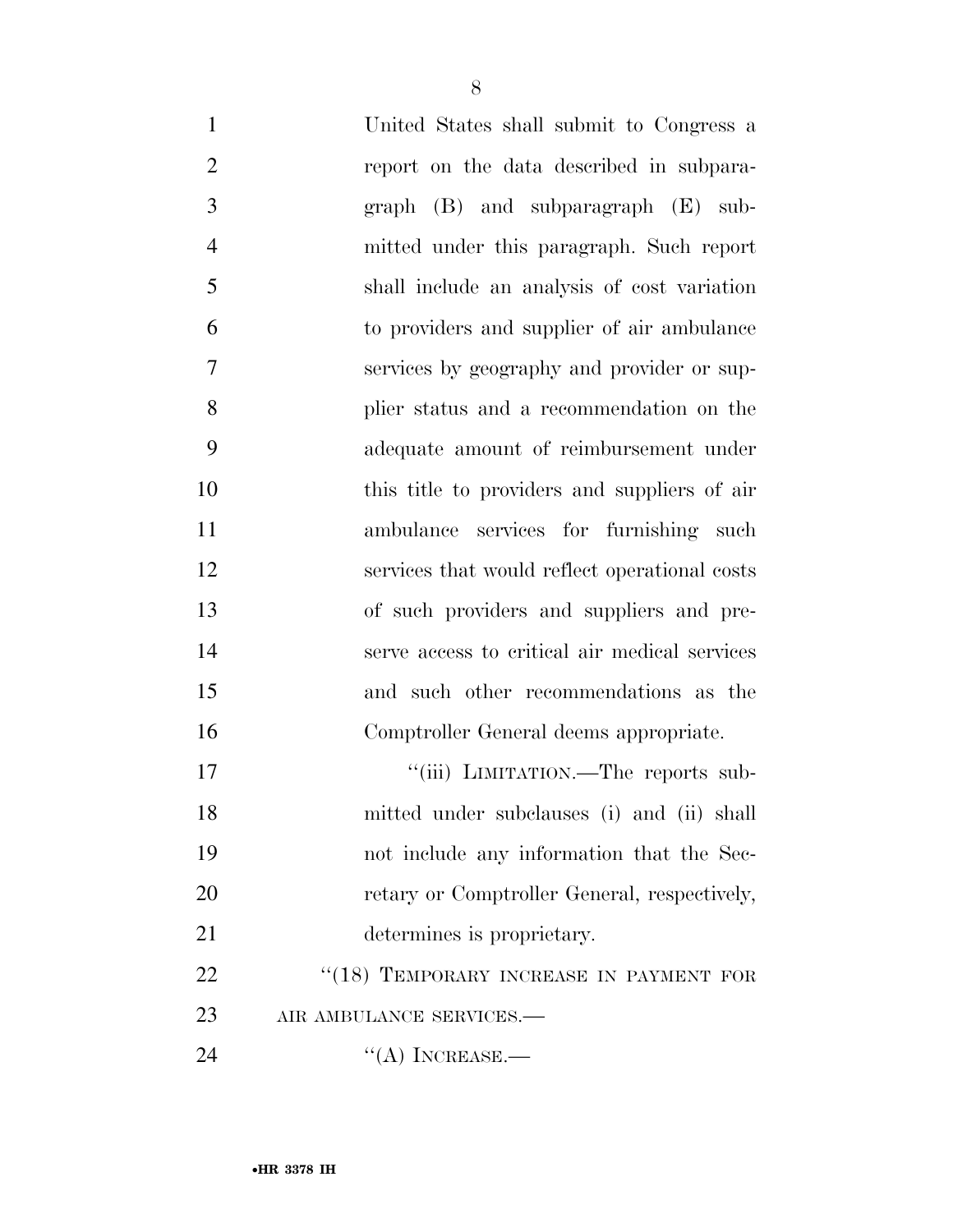| $\mathbf{1}$   | United States shall submit to Congress a      |
|----------------|-----------------------------------------------|
| $\overline{2}$ | report on the data described in subpara-      |
| 3              | $graph$ (B) and subparagraph (E) sub-         |
| $\overline{4}$ | mitted under this paragraph. Such report      |
| 5              | shall include an analysis of cost variation   |
| 6              | to providers and supplier of air ambulance    |
| $\overline{7}$ | services by geography and provider or sup-    |
| 8              | plier status and a recommendation on the      |
| 9              | adequate amount of reimbursement under        |
| 10             | this title to providers and suppliers of air  |
| 11             | ambulance services for furnishing such        |
| 12             | services that would reflect operational costs |
| 13             | of such providers and suppliers and pre-      |
| 14             | serve access to critical air medical services |
| 15             | and such other recommendations as the         |
| 16             | Comptroller General deems appropriate.        |
| 17             | "(iii) LIMITATION.—The reports sub-           |
| 18             | mitted under subclauses (i) and (ii) shall    |
| 19             | not include any information that the Sec-     |
| 20             | retary or Comptroller General, respectively,  |
| 21             | determines is proprietary.                    |
| 22             | "(18) TEMPORARY INCREASE IN PAYMENT FOR       |
| 23             | AIR AMBULANCE SERVICES.-                      |
| 24             | $\lq\lq$ INCREASE.—                           |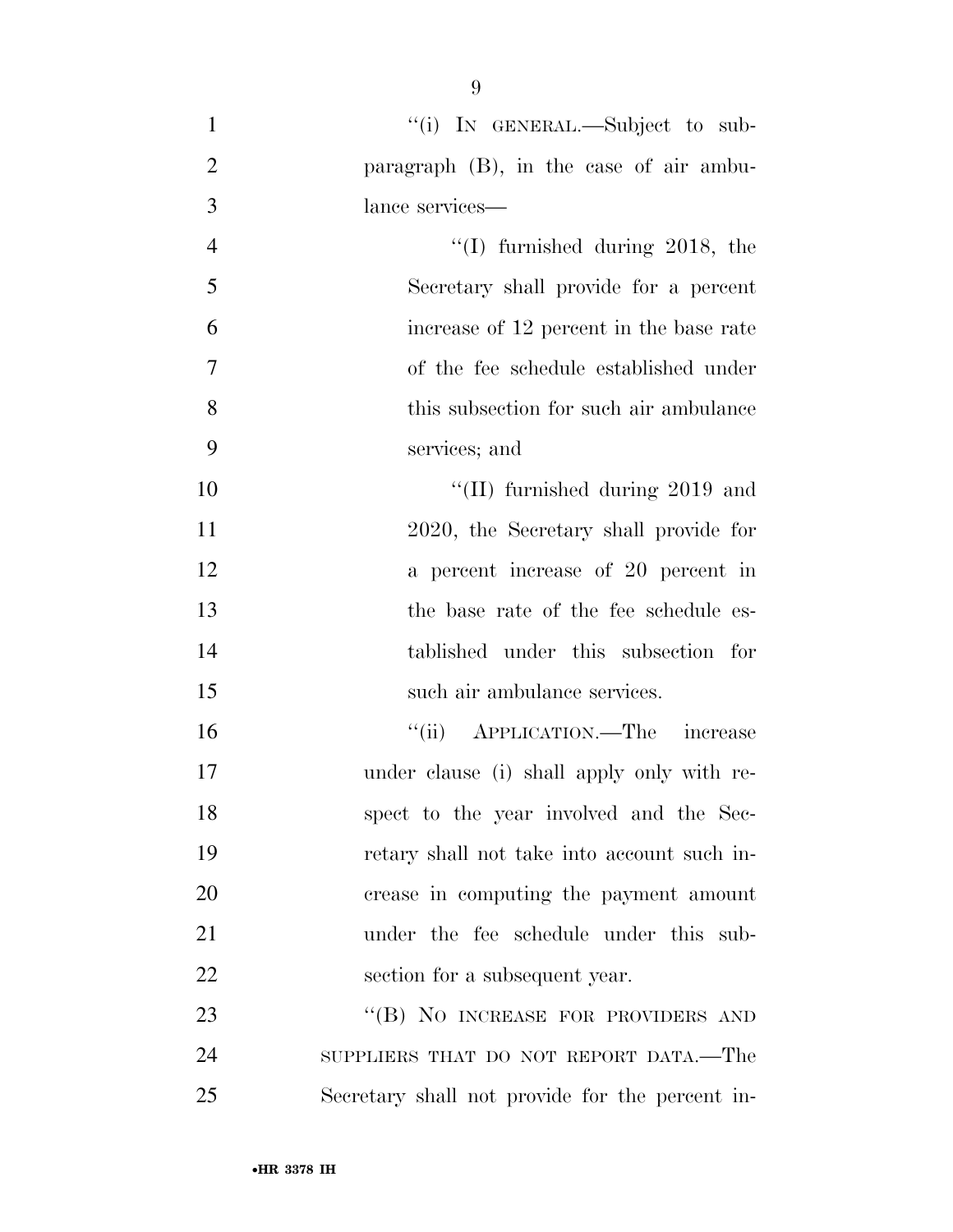1 "(i) In GENERAL.—Subject to sub- paragraph (B), in the case of air ambu- lance services— 4 ''(I) furnished during 2018, the Secretary shall provide for a percent increase of 12 percent in the base rate of the fee schedule established under this subsection for such air ambulance services; and  $\text{``(II)}$  furnished during 2019 and 2020, the Secretary shall provide for a percent increase of 20 percent in the base rate of the fee schedule es- tablished under this subsection for such air ambulance services. ''(ii) APPLICATION.—The increase under clause (i) shall apply only with re- spect to the year involved and the Sec- retary shall not take into account such in- crease in computing the payment amount under the fee schedule under this sub-22 section for a subsequent year. 23 "(B) NO INCREASE FOR PROVIDERS AND SUPPLIERS THAT DO NOT REPORT DATA.—The Secretary shall not provide for the percent in-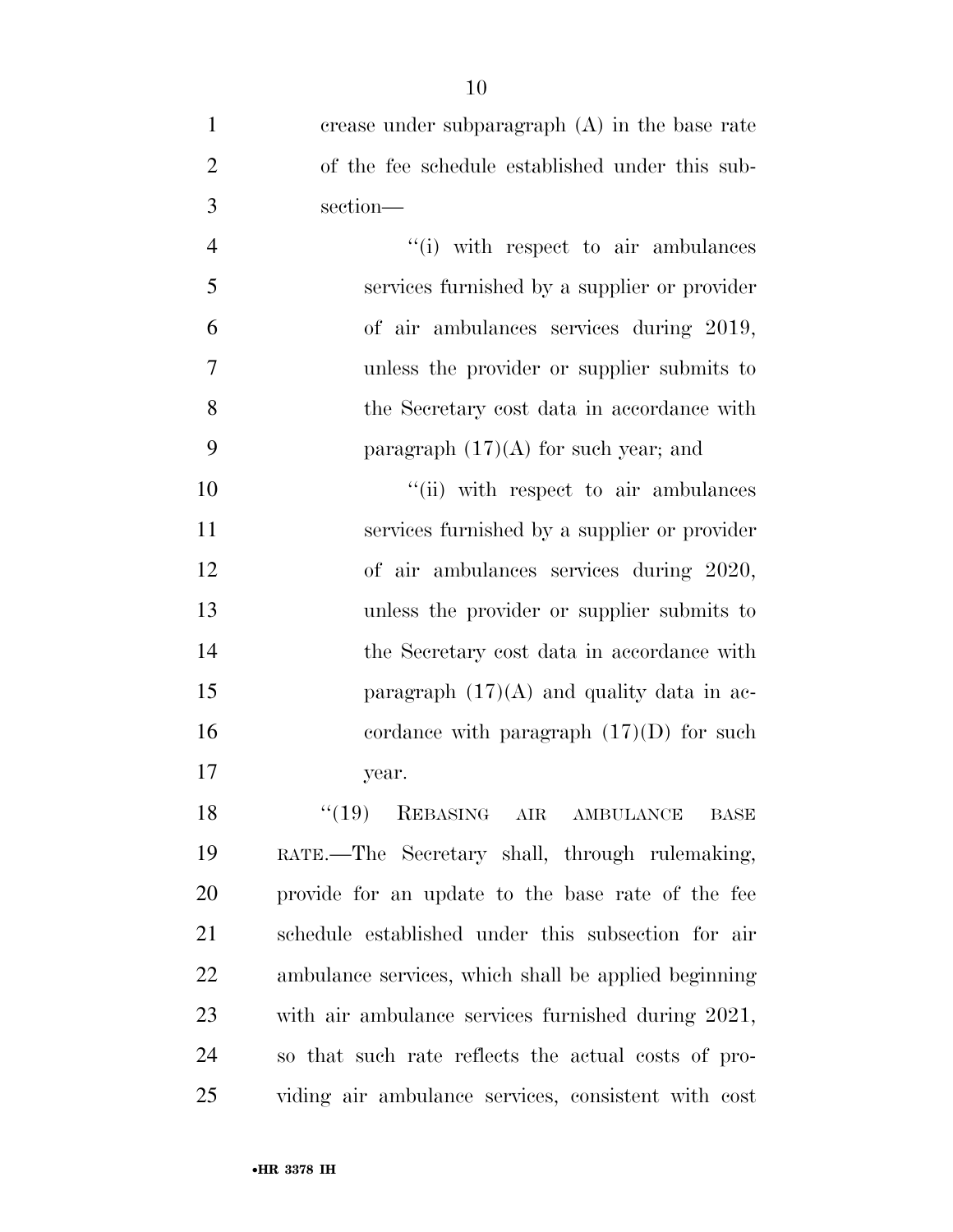| $\mathbf{1}$   | crease under subparagraph $(A)$ in the base rate     |
|----------------|------------------------------------------------------|
| $\overline{2}$ | of the fee schedule established under this sub-      |
| 3              | section-                                             |
| $\overline{4}$ | "(i) with respect to air ambulances                  |
| 5              | services furnished by a supplier or provider         |
| 6              | of air ambulances services during 2019,              |
| 7              | unless the provider or supplier submits to           |
| 8              | the Secretary cost data in accordance with           |
| 9              | paragraph $(17)(A)$ for such year; and               |
| 10             | "(ii) with respect to air ambulances                 |
| 11             | services furnished by a supplier or provider         |
| 12             | of air ambulances services during 2020,              |
| 13             | unless the provider or supplier submits to           |
| 14             | the Secretary cost data in accordance with           |
| 15             | paragraph $(17)(A)$ and quality data in ac-          |
| 16             | cordance with paragraph $(17)(D)$ for such           |
| 17             | year.                                                |
| 18             | $``(19)$ REBASING AIR AMBULANCE<br>BASE              |
| 19             | RATE.—The Secretary shall, through rulemaking,       |
| 20             | provide for an update to the base rate of the fee    |
| 21             | schedule established under this subsection for air   |
| 22             | ambulance services, which shall be applied beginning |
| 23             | with air ambulance services furnished during 2021,   |
| 24             | so that such rate reflects the actual costs of pro-  |
| 25             | viding air ambulance services, consistent with cost  |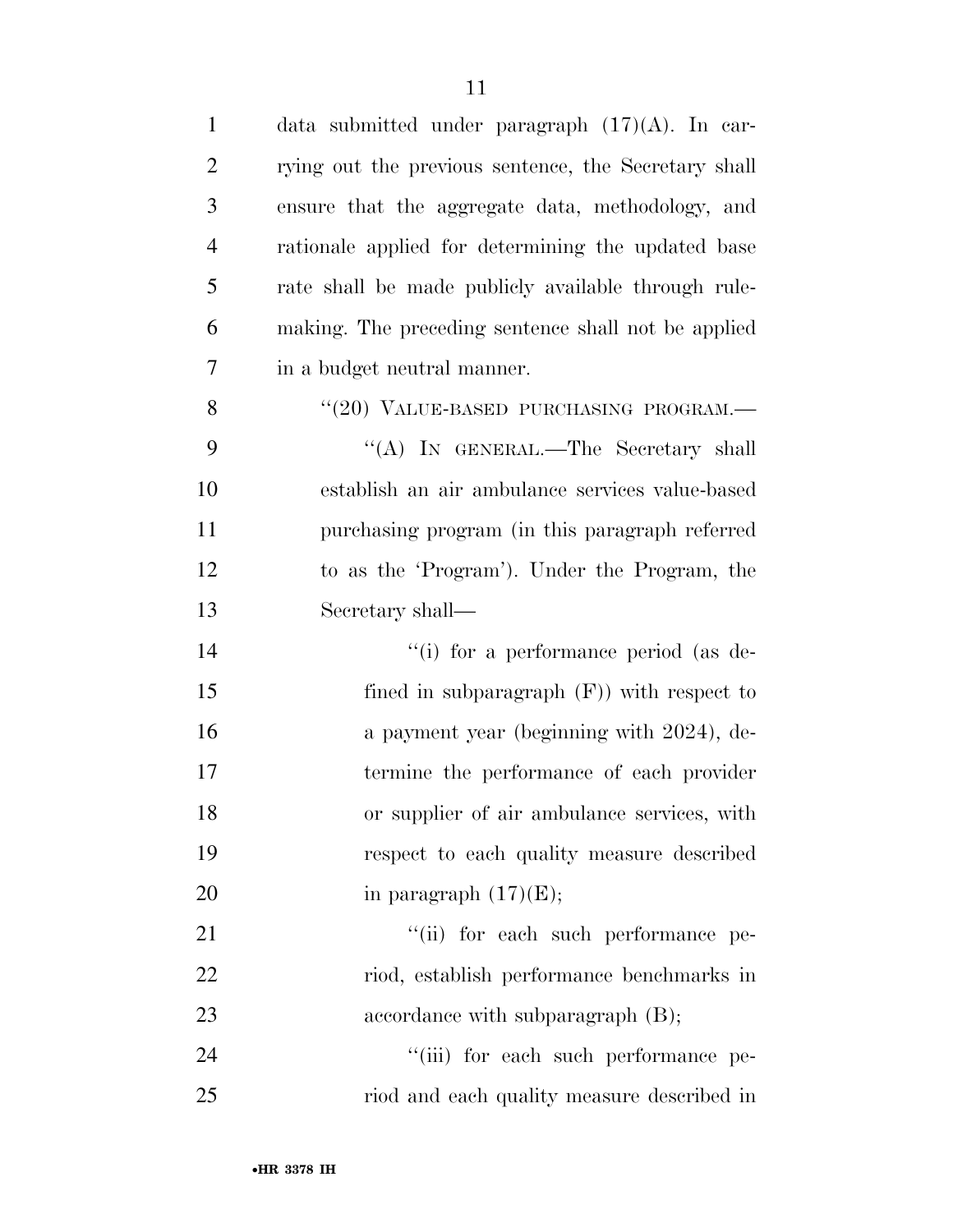| $\mathbf{1}$   | data submitted under paragraph $(17)(A)$ . In car-   |
|----------------|------------------------------------------------------|
| $\overline{2}$ | rying out the previous sentence, the Secretary shall |
| 3              | ensure that the aggregate data, methodology, and     |
| 4              | rationale applied for determining the updated base   |
| 5              | rate shall be made publicly available through rule-  |
| 6              | making. The preceding sentence shall not be applied  |
| 7              | in a budget neutral manner.                          |
| 8              | "(20) VALUE-BASED PURCHASING PROGRAM.-               |
| 9              | "(A) IN GENERAL.—The Secretary shall                 |
| 10             | establish an air ambulance services value-based      |
| 11             | purchasing program (in this paragraph referred       |
| 12             | to as the 'Program'). Under the Program, the         |
| 13             | Secretary shall—                                     |
| 14             | "(i) for a performance period (as de-                |
| 15             | fined in subparagraph $(F)$ ) with respect to        |
| 16             | a payment year (beginning with 2024), de-            |
| 17             | termine the performance of each provider             |
| 18             | or supplier of air ambulance services, with          |
| 19             | respect to each quality measure described            |
| 20             | in paragraph $(17)(E)$ ;                             |
| 21             | "(ii) for each such performance pe-                  |
| 22             | riod, establish performance benchmarks in            |
| 23             | accordance with subparagraph $(B)$ ;                 |
| 24             | "(iii) for each such performance pe-                 |
| 25             | riod and each quality measure described in           |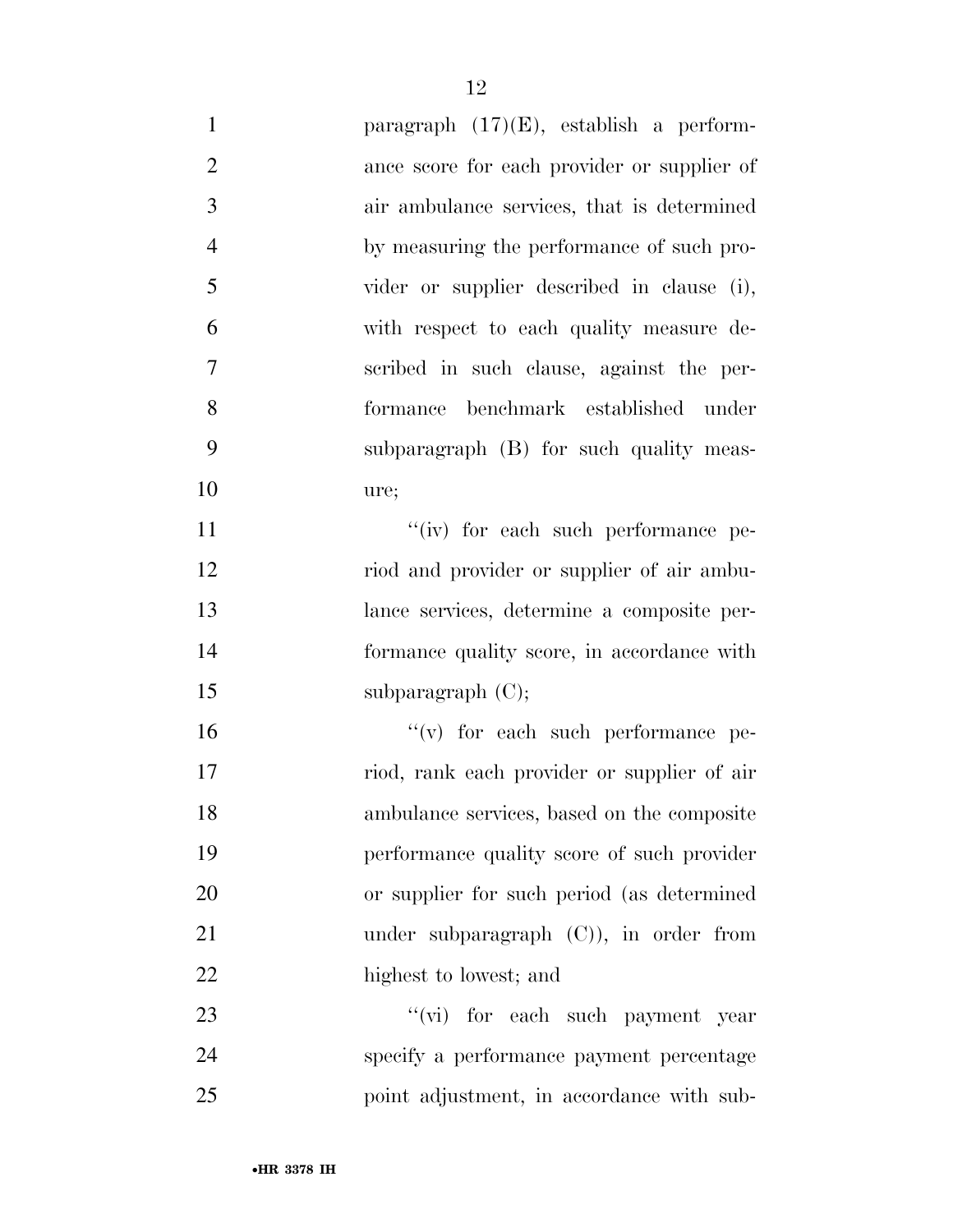| $\mathbf{1}$   | paragraph $(17)(E)$ , establish a perform-  |
|----------------|---------------------------------------------|
| $\overline{2}$ | ance score for each provider or supplier of |
| 3              | air ambulance services, that is determined  |
| $\overline{4}$ | by measuring the performance of such pro-   |
| 5              | vider or supplier described in clause (i),  |
| 6              | with respect to each quality measure de-    |
| $\overline{7}$ | scribed in such clause, against the per-    |
| 8              | formance benchmark established under        |
| 9              | subparagraph (B) for such quality meas-     |
| 10             | ure;                                        |
| 11             | "(iv) for each such performance pe-         |
| 12             | riod and provider or supplier of air ambu-  |
| 13             | lance services, determine a composite per-  |
| 14             | formance quality score, in accordance with  |
| 15             | subparagraph $(C)$ ;                        |
| 16             | $f'(v)$ for each such performance pe-       |
| 17             | riod, rank each provider or supplier of air |
| 18             | ambulance services, based on the composite  |
| 19             | performance quality score of such provider  |
| 20             | or supplier for such period (as determined  |
| 21             | under subparagraph $(C)$ ), in order from   |
| 22             | highest to lowest; and                      |
| 23             | "(vi) for each such payment year            |
| 24             | specify a performance payment percentage    |
| 25             | point adjustment, in accordance with sub-   |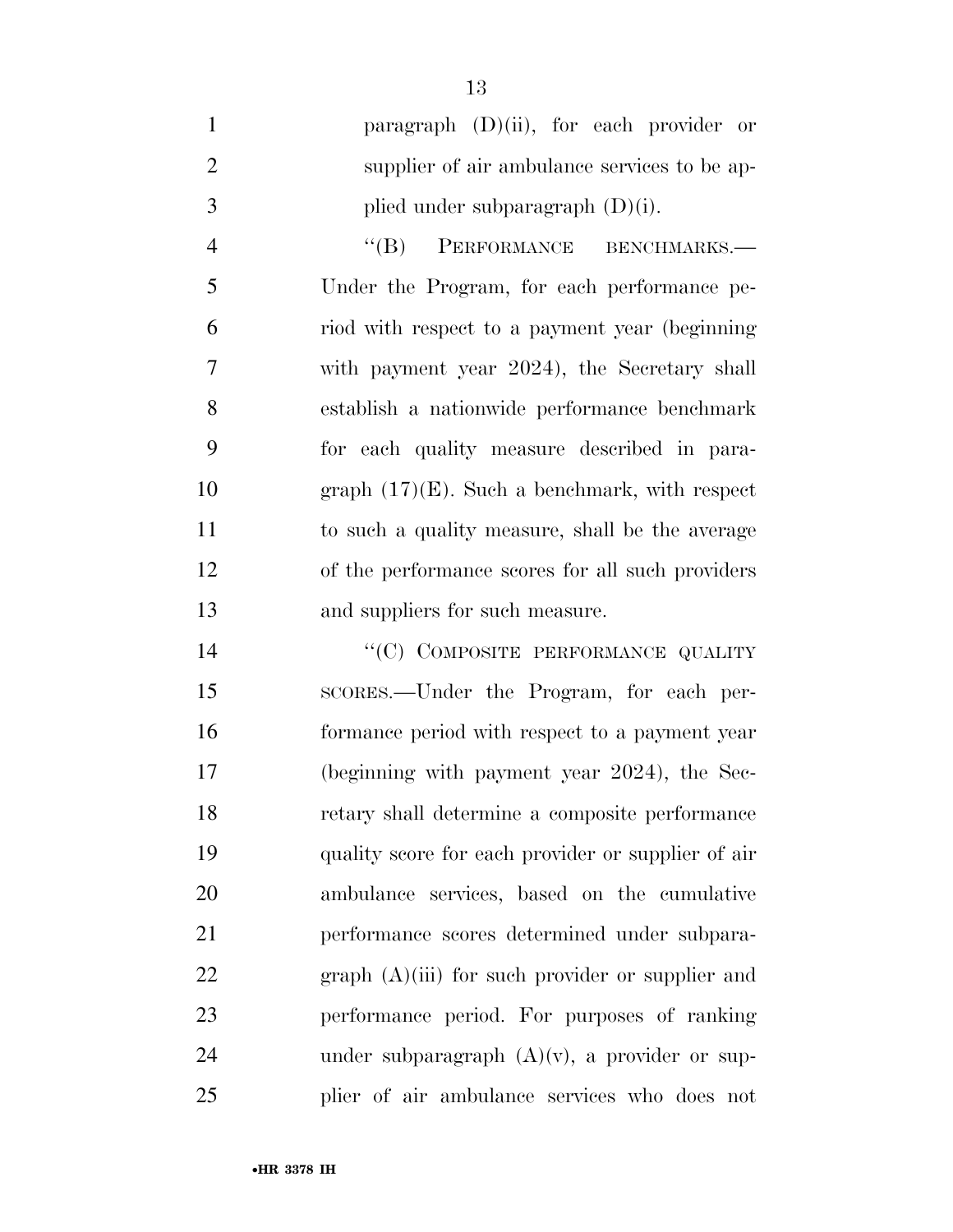|               | paragraph $(D)(ii)$ , for each provider or   |
|---------------|----------------------------------------------|
| $\mathcal{D}$ | supplier of air ambulance services to be ap- |
| $\mathcal{R}$ | plied under subparagraph $(D)(i)$ .          |

4 "(B) PERFORMANCE BENCHMARKS.— Under the Program, for each performance pe- riod with respect to a payment year (beginning with payment year 2024), the Secretary shall establish a nationwide performance benchmark for each quality measure described in para- graph (17)(E). Such a benchmark, with respect to such a quality measure, shall be the average of the performance scores for all such providers and suppliers for such measure.

14 "(C) COMPOSITE PERFORMANCE QUALITY SCORES.—Under the Program, for each per- formance period with respect to a payment year (beginning with payment year 2024), the Sec- retary shall determine a composite performance quality score for each provider or supplier of air ambulance services, based on the cumulative performance scores determined under subpara-22 graph (A)(iii) for such provider or supplier and performance period. For purposes of ranking 24 under subparagraph  $(A)(v)$ , a provider or sup-plier of air ambulance services who does not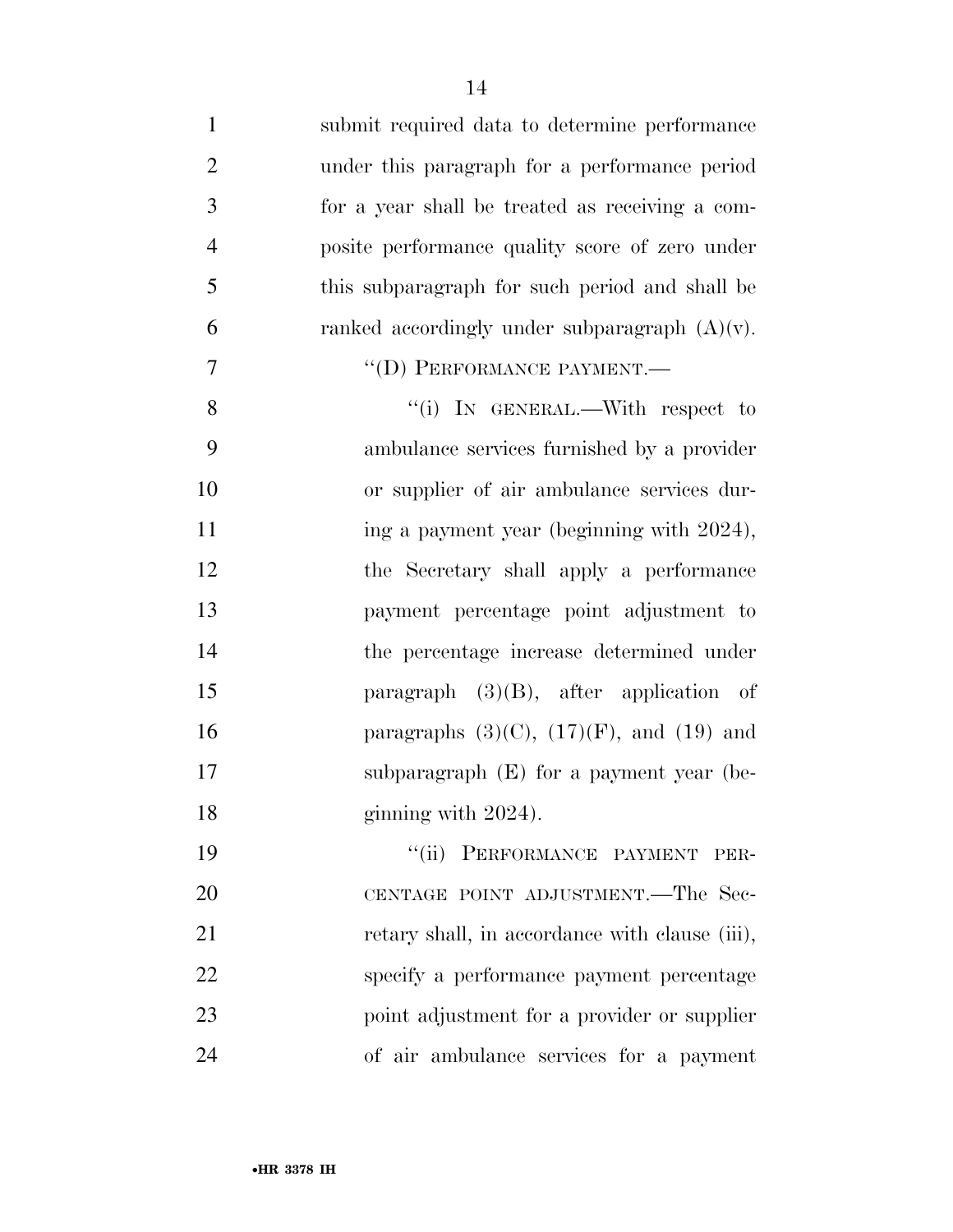| $\mathbf{1}$   | submit required data to determine performance    |
|----------------|--------------------------------------------------|
| $\overline{2}$ | under this paragraph for a performance period    |
| 3              | for a year shall be treated as receiving a com-  |
| $\overline{4}$ | posite performance quality score of zero under   |
| 5              | this subparagraph for such period and shall be   |
| 6              | ranked accordingly under subparagraph $(A)(v)$ . |
| $\overline{7}$ | "(D) PERFORMANCE PAYMENT.-                       |
| 8              | "(i) IN GENERAL.—With respect to                 |
| 9              | ambulance services furnished by a provider       |
| 10             | or supplier of air ambulance services dur-       |
| 11             | ing a payment year (beginning with 2024),        |
| 12             | the Secretary shall apply a performance          |
| 13             | payment percentage point adjustment to           |
| 14             | the percentage increase determined under         |
| 15             | paragraph $(3)(B)$ , after application of        |
| 16             | paragraphs $(3)(C)$ , $(17)(F)$ , and $(19)$ and |
| 17             | subparagraph $(E)$ for a payment year (be-       |
| 18             | ginning with 2024).                              |
| 19             | "(ii) PERFORMANCE PAYMENT<br>PER-                |
| <b>20</b>      | CENTAGE POINT ADJUSTMENT.—The Sec-               |
| 21             | retary shall, in accordance with clause (iii),   |
| 22             | specify a performance payment percentage         |
| 23             | point adjustment for a provider or supplier      |
| 24             | of air ambulance services for a payment          |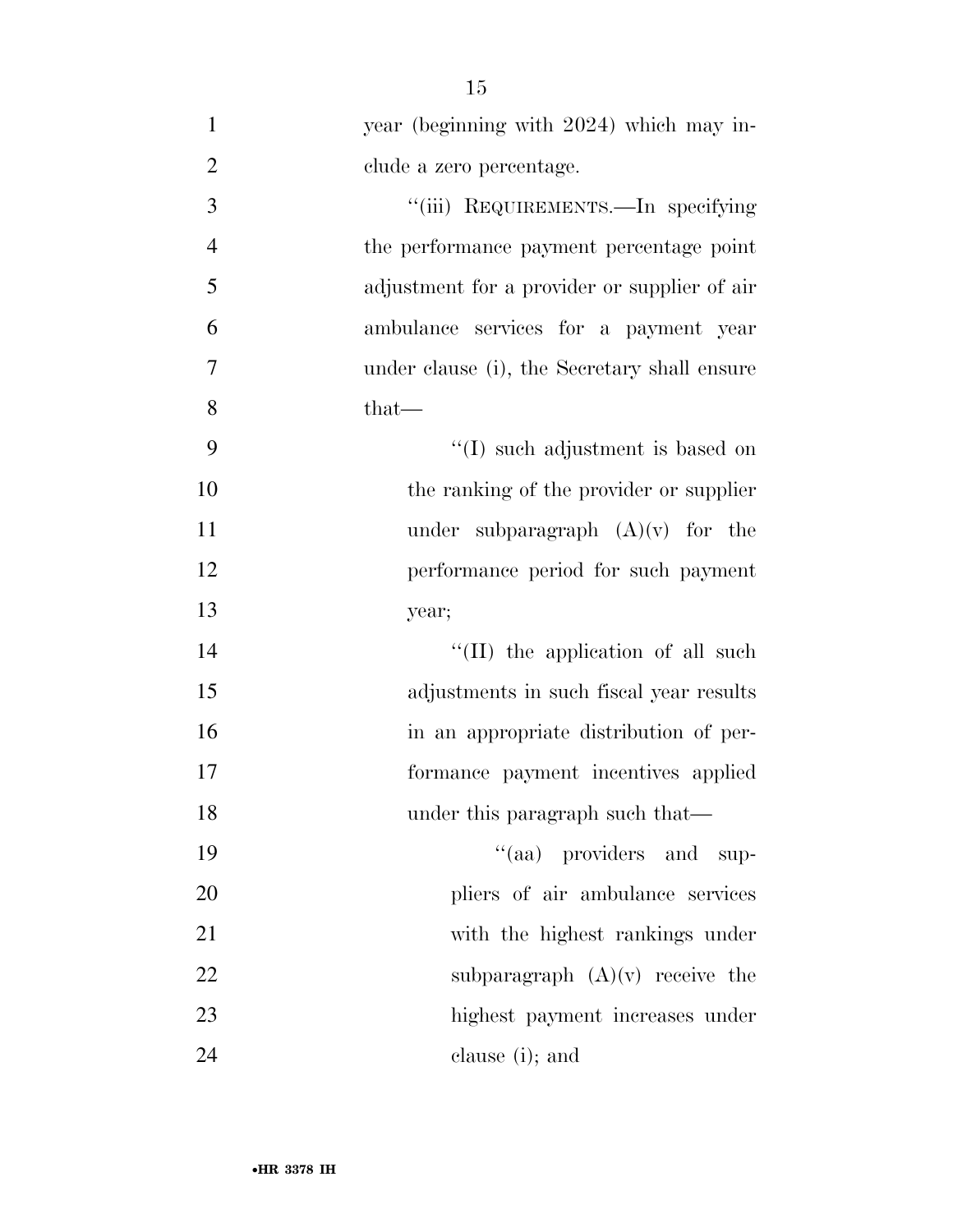| $\mathbf{1}$   | year (beginning with 2024) which may in-     |
|----------------|----------------------------------------------|
| $\overline{2}$ | clude a zero percentage.                     |
| 3              | "(iii) REQUIREMENTS.—In specifying           |
| $\overline{4}$ | the performance payment percentage point     |
| 5              | adjustment for a provider or supplier of air |
| 6              | ambulance services for a payment year        |
| 7              | under clause (i), the Secretary shall ensure |
| 8              | $that-$                                      |
| 9              | "(I) such adjustment is based on             |
| 10             | the ranking of the provider or supplier      |
| 11             | under subparagraph $(A)(v)$ for the          |
| 12             | performance period for such payment          |
| 13             | year;                                        |
| 14             | $\lq\lq$ (II) the application of all such    |
| 15             | adjustments in such fiscal year results      |
| 16             | in an appropriate distribution of per-       |
| 17             | formance payment incentives applied          |
| 18             | under this paragraph such that—              |
| 19             | "(aa) providers and<br>sup-                  |
| 20             | pliers of air ambulance services             |
| 21             | with the highest rankings under              |
| 22             | subparagraph $(A)(v)$ receive the            |
| 23             | highest payment increases under              |
| 24             | clause (i); and                              |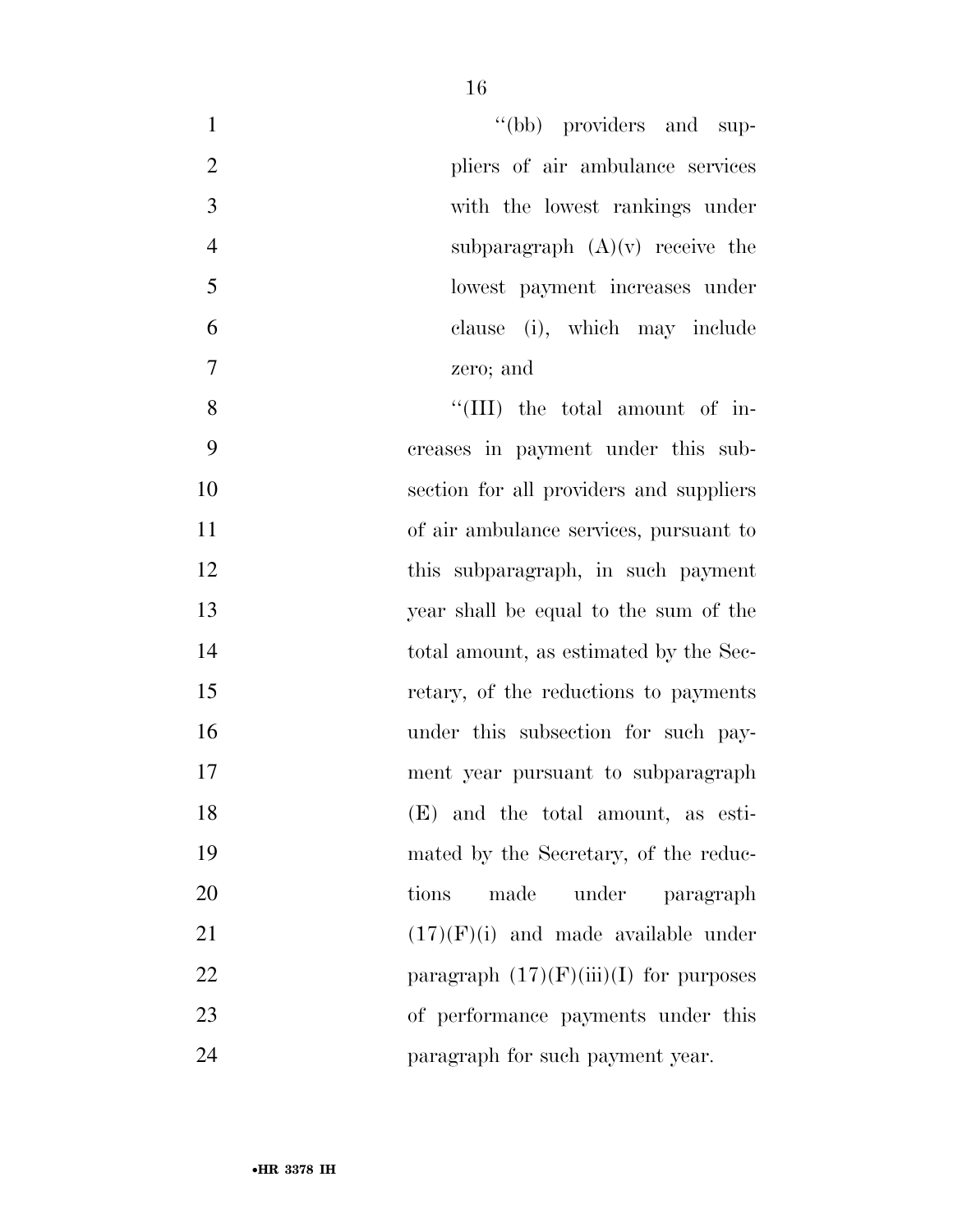| $\mathbf{1}$   | "(bb) providers and sup-                 |
|----------------|------------------------------------------|
| $\overline{2}$ | pliers of air ambulance services         |
| 3              | with the lowest rankings under           |
| $\overline{4}$ | subparagraph $(A)(v)$ receive the        |
| 5              | lowest payment increases under           |
| 6              | clause (i), which may include            |
| $\tau$         | zero; and                                |
| 8              | "(III) the total amount of in-           |
| 9              | creases in payment under this sub-       |
| 10             | section for all providers and suppliers  |
| 11             | of air ambulance services, pursuant to   |
| 12             | this subparagraph, in such payment       |
| 13             | year shall be equal to the sum of the    |
| 14             | total amount, as estimated by the Sec-   |
| 15             | retary, of the reductions to payments    |
| 16             | under this subsection for such pay-      |
| 17             | ment year pursuant to subparagraph       |
| 18             | (E) and the total amount, as esti-       |
| 19             | mated by the Secretary, of the reduc-    |
| 20             | made<br>under<br>tions<br>paragraph      |
| 21             | $(17)(F)(i)$ and made available under    |
| 22             | paragraph $(17)(F)(iii)(I)$ for purposes |
| 23             | of performance payments under this       |
| 24             | paragraph for such payment year.         |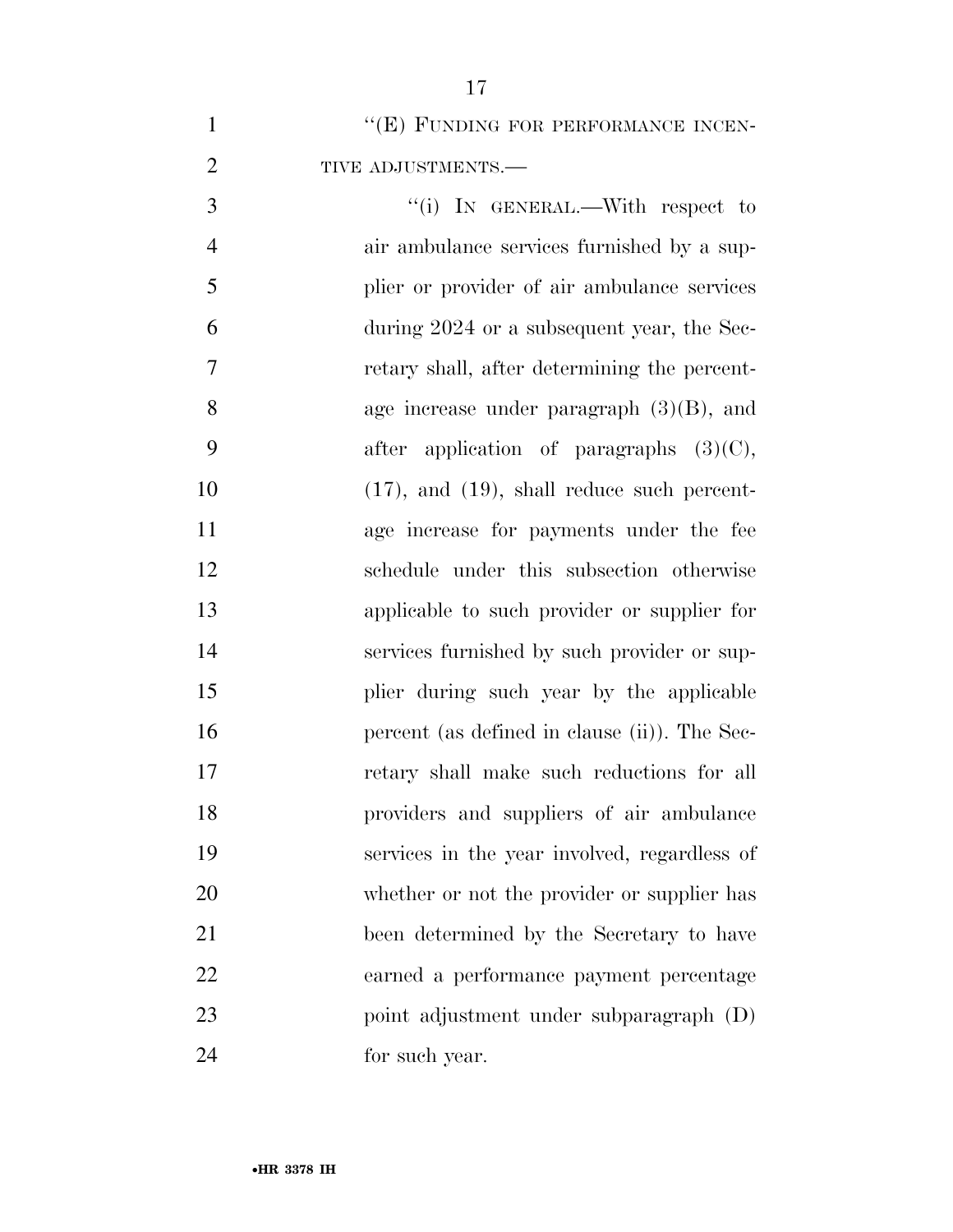| $\mathbf{1}$   | "(E) FUNDING FOR PERFORMANCE INCEN-              |
|----------------|--------------------------------------------------|
| $\overline{2}$ | TIVE ADJUSTMENTS.-                               |
| 3              | "(i) IN GENERAL.—With respect to                 |
| $\overline{4}$ | air ambulance services furnished by a sup-       |
| 5              | plier or provider of air ambulance services      |
| 6              | during 2024 or a subsequent year, the Sec-       |
| 7              | retary shall, after determining the percent-     |
| 8              | age increase under paragraph $(3)(B)$ , and      |
| 9              | after application of paragraphs $(3)(C)$ ,       |
| 10             | $(17)$ , and $(19)$ , shall reduce such percent- |
| 11             | age increase for payments under the fee          |
| 12             | schedule under this subsection otherwise         |
| 13             | applicable to such provider or supplier for      |
| 14             | services furnished by such provider or sup-      |
| 15             | plier during such year by the applicable         |
| 16             | percent (as defined in clause (ii)). The Sec-    |
| 17             | retary shall make such reductions for all        |
| 18             | providers and suppliers of air ambulance         |
| 19             | services in the year involved, regardless of     |
| 20             | whether or not the provider or supplier has      |
| 21             | been determined by the Secretary to have         |
| 22             | earned a performance payment percentage          |
| 23             | point adjustment under subparagraph (D)          |
| 24             | for such year.                                   |